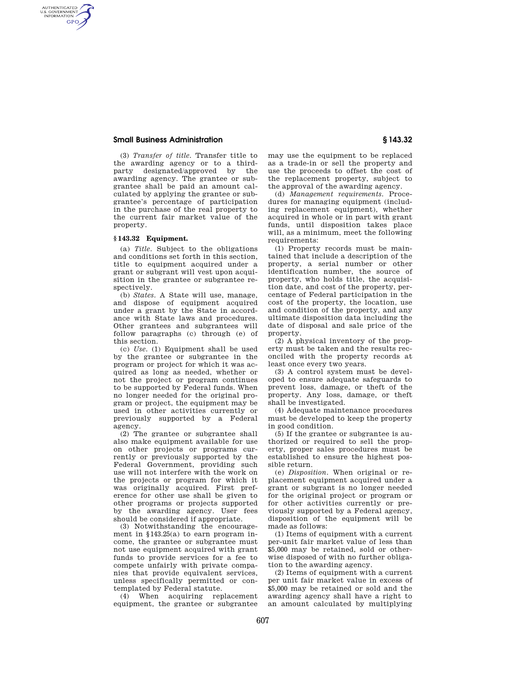# **Small Business Administration § 143.32**

AUTHENTICATED<br>U.S. GOVERNMENT<br>INFORMATION **GPO** 

> (3) *Transfer of title.* Transfer title to the awarding agency or to a thirdparty designated/approved by the awarding agency. The grantee or subgrantee shall be paid an amount calculated by applying the grantee or subgrantee's percentage of participation in the purchase of the real property to the current fair market value of the property.

# **§ 143.32 Equipment.**

(a) *Title.* Subject to the obligations and conditions set forth in this section, title to equipment acquired under a grant or subgrant will vest upon acquisition in the grantee or subgrantee respectively.

(b) *States.* A State will use, manage, and dispose of equipment acquired under a grant by the State in accordance with State laws and procedures. Other grantees and subgrantees will follow paragraphs (c) through (e) of this section.

(c) *Use.* (1) Equipment shall be used by the grantee or subgrantee in the program or project for which it was acquired as long as needed, whether or not the project or program continues to be supported by Federal funds. When no longer needed for the original program or project, the equipment may be used in other activities currently or previously supported by a Federal agency.

(2) The grantee or subgrantee shall also make equipment available for use on other projects or programs currently or previously supported by the Federal Government, providing such use will not interfere with the work on the projects or program for which it was originally acquired. First preference for other use shall be given to other programs or projects supported by the awarding agency. User fees should be considered if appropriate.

(3) Notwithstanding the encouragement in §143.25(a) to earn program income, the grantee or subgrantee must not use equipment acquired with grant funds to provide services for a fee to compete unfairly with private companies that provide equivalent services, unless specifically permitted or contemplated by Federal statute.

(4) When acquiring replacement equipment, the grantee or subgrantee

may use the equipment to be replaced as a trade-in or sell the property and use the proceeds to offset the cost of the replacement property, subject to the approval of the awarding agency.

(d) *Management requirements.* Procedures for managing equipment (including replacement equipment), whether acquired in whole or in part with grant funds, until disposition takes place will, as a minimum, meet the following requirements:

(1) Property records must be maintained that include a description of the property, a serial number or other identification number, the source of property, who holds title, the acquisition date, and cost of the property, percentage of Federal participation in the cost of the property, the location, use and condition of the property, and any ultimate disposition data including the date of disposal and sale price of the property.

(2) A physical inventory of the property must be taken and the results reconciled with the property records at least once every two years.

(3) A control system must be developed to ensure adequate safeguards to prevent loss, damage, or theft of the property. Any loss, damage, or theft shall be investigated.

(4) Adequate maintenance procedures must be developed to keep the property in good condition.

(5) If the grantee or subgrantee is authorized or required to sell the property, proper sales procedures must be established to ensure the highest possible return.

(e) *Disposition.* When original or replacement equipment acquired under a grant or subgrant is no longer needed for the original project or program or for other activities currently or previously supported by a Federal agency, disposition of the equipment will be made as follows:

(1) Items of equipment with a current per-unit fair market value of less than \$5,000 may be retained, sold or otherwise disposed of with no further obligation to the awarding agency.

(2) Items of equipment with a current per unit fair market value in excess of \$5,000 may be retained or sold and the awarding agency shall have a right to an amount calculated by multiplying